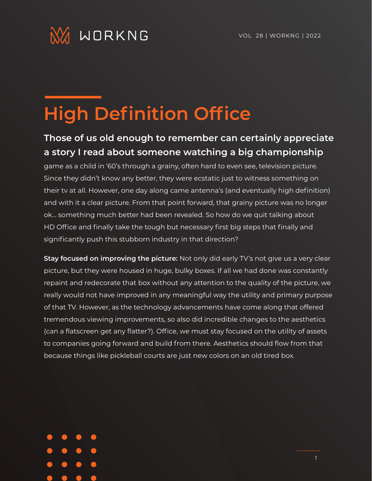

## **High Definition Office**

## **Those of us old enough to remember can certainly appreciate a story I read about someone watching a big championship**

game as a child in '60's through a grainy, often hard to even see, television picture. Since they didn't know any better, they were ecstatic just to witness something on their tv at all. However, one day along came antenna's (and eventually high definition) and with it a clear picture. From that point forward, that grainy picture was no longer ok… something much better had been revealed. So how do we quit talking about HD Office and finally take the tough but necessary first big steps that finally and significantly push this stubborn industry in that direction?

**Stay focused on improving the picture:** Not only did early TV's not give us a very clear picture, but they were housed in huge, bulky boxes. If all we had done was constantly repaint and redecorate that box without any attention to the quality of the picture, we really would not have improved in any meaningful way the utility and primary purpose of that TV. However, as the technology advancements have come along that offered tremendous viewing improvements, so also did incredible changes to the aesthetics (can a flatscreen get any flatter?). Office, we must stay focused on the utility of assets to companies going forward and build from there. Aesthetics should flow from that because things like pickleball courts are just new colors on an old tired box.

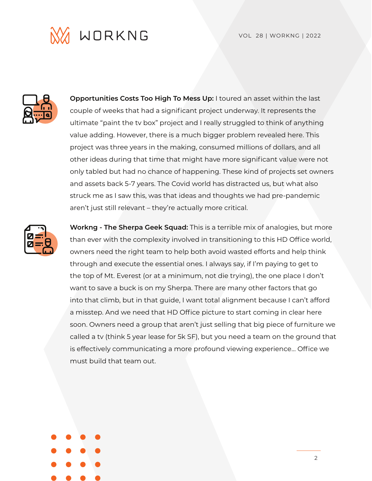



**Opportunities Costs Too High To Mess Up:** I toured an asset within the last couple of weeks that had a significant project underway. It represents the ultimate "paint the tv box" project and I really struggled to think of anything value adding. However, there is a much bigger problem revealed here. This project was three years in the making, consumed millions of dollars, and all other ideas during that time that might have more significant value were not only tabled but had no chance of happening. These kind of projects set owners and assets back 5-7 years. The Covid world has distracted us, but what also struck me as I saw this, was that ideas and thoughts we had pre-pandemic aren't just still relevant – they're actually more critical.



**Workng - The Sherpa Geek Squad:** This is a terrible mix of analogies, but more than ever with the complexity involved in transitioning to this HD Office world, owners need the right team to help both avoid wasted efforts and help think through and execute the essential ones. I always say, if I'm paying to get to the top of Mt. Everest (or at a minimum, not die trying), the one place I don't want to save a buck is on my Sherpa. There are many other factors that go into that climb, but in that guide, I want total alignment because I can't afford a misstep. And we need that HD Office picture to start coming in clear here soon. Owners need a group that aren't just selling that big piece of furniture we called a tv (think 5 year lease for 5k SF), but you need a team on the ground that is effectively communicating a more profound viewing experience… Office we must build that team out.